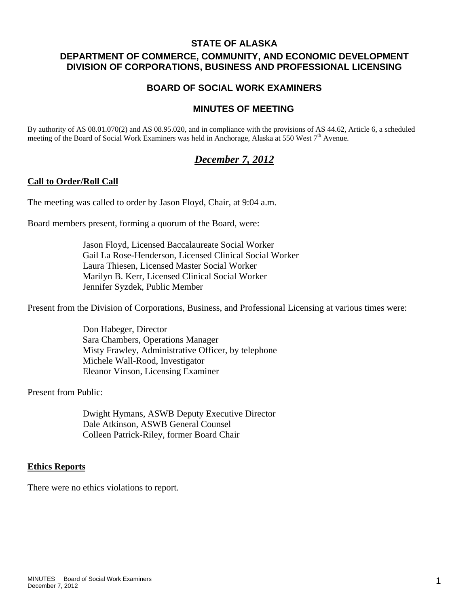# **STATE OF ALASKA**

# **DEPARTMENT OF COMMERCE, COMMUNITY, AND ECONOMIC DEVELOPMENT DIVISION OF CORPORATIONS, BUSINESS AND PROFESSIONAL LICENSING**

# **BOARD OF SOCIAL WORK EXAMINERS**

# **MINUTES OF MEETING**

By authority of AS 08.01.070(2) and AS 08.95.020, and in compliance with the provisions of AS 44.62, Article 6, a scheduled meeting of the Board of Social Work Examiners was held in Anchorage, Alaska at 550 West  $7<sup>th</sup>$  Avenue.

# *December 7, 2012*

## **Call to Order/Roll Call**

The meeting was called to order by Jason Floyd, Chair, at 9:04 a.m.

Board members present, forming a quorum of the Board, were:

 Jason Floyd, Licensed Baccalaureate Social Worker Gail La Rose-Henderson, Licensed Clinical Social Worker Laura Thiesen, Licensed Master Social Worker Marilyn B. Kerr, Licensed Clinical Social Worker Jennifer Syzdek, Public Member

Present from the Division of Corporations, Business, and Professional Licensing at various times were:

 Don Habeger, Director Sara Chambers, Operations Manager Misty Frawley, Administrative Officer, by telephone Michele Wall-Rood, Investigator Eleanor Vinson, Licensing Examiner

Present from Public:

 Dwight Hymans, ASWB Deputy Executive Director Dale Atkinson, ASWB General Counsel Colleen Patrick-Riley, former Board Chair

#### **Ethics Reports**

There were no ethics violations to report.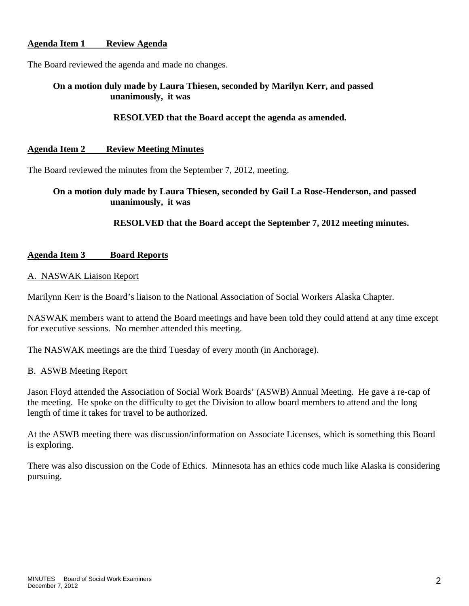# **Agenda Item 1 Review Agenda**

The Board reviewed the agenda and made no changes.

# **On a motion duly made by Laura Thiesen, seconded by Marilyn Kerr, and passed unanimously, it was**

# **RESOLVED that the Board accept the agenda as amended.**

## **Agenda Item 2 Review Meeting Minutes**

The Board reviewed the minutes from the September 7, 2012, meeting.

# **On a motion duly made by Laura Thiesen, seconded by Gail La Rose-Henderson, and passed unanimously, it was**

## **RESOLVED that the Board accept the September 7, 2012 meeting minutes.**

## **Agenda Item 3 Board Reports**

## A. NASWAK Liaison Report

Marilynn Kerr is the Board's liaison to the National Association of Social Workers Alaska Chapter.

NASWAK members want to attend the Board meetings and have been told they could attend at any time except for executive sessions. No member attended this meeting.

The NASWAK meetings are the third Tuesday of every month (in Anchorage).

## B. ASWB Meeting Report

Jason Floyd attended the Association of Social Work Boards' (ASWB) Annual Meeting. He gave a re-cap of the meeting. He spoke on the difficulty to get the Division to allow board members to attend and the long length of time it takes for travel to be authorized.

At the ASWB meeting there was discussion/information on Associate Licenses, which is something this Board is exploring.

There was also discussion on the Code of Ethics. Minnesota has an ethics code much like Alaska is considering pursuing.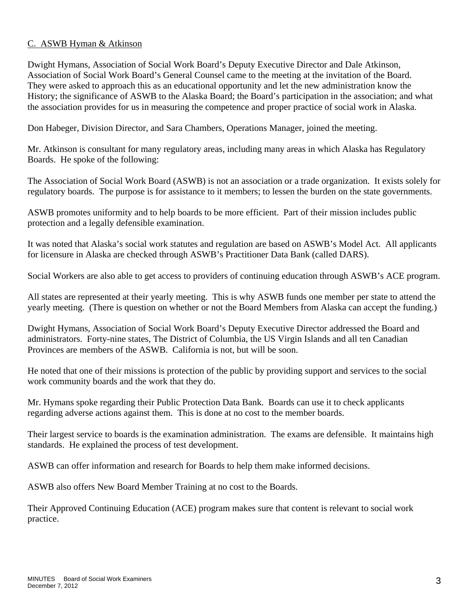# C. ASWB Hyman & Atkinson

Dwight Hymans, Association of Social Work Board's Deputy Executive Director and Dale Atkinson, Association of Social Work Board's General Counsel came to the meeting at the invitation of the Board. They were asked to approach this as an educational opportunity and let the new administration know the History; the significance of ASWB to the Alaska Board; the Board's participation in the association; and what the association provides for us in measuring the competence and proper practice of social work in Alaska.

Don Habeger, Division Director, and Sara Chambers, Operations Manager, joined the meeting.

Mr. Atkinson is consultant for many regulatory areas, including many areas in which Alaska has Regulatory Boards. He spoke of the following:

The Association of Social Work Board (ASWB) is not an association or a trade organization. It exists solely for regulatory boards. The purpose is for assistance to it members; to lessen the burden on the state governments.

ASWB promotes uniformity and to help boards to be more efficient. Part of their mission includes public protection and a legally defensible examination.

It was noted that Alaska's social work statutes and regulation are based on ASWB's Model Act. All applicants for licensure in Alaska are checked through ASWB's Practitioner Data Bank (called DARS).

Social Workers are also able to get access to providers of continuing education through ASWB's ACE program.

All states are represented at their yearly meeting. This is why ASWB funds one member per state to attend the yearly meeting. (There is question on whether or not the Board Members from Alaska can accept the funding.)

Dwight Hymans, Association of Social Work Board's Deputy Executive Director addressed the Board and administrators. Forty-nine states, The District of Columbia, the US Virgin Islands and all ten Canadian Provinces are members of the ASWB. California is not, but will be soon.

He noted that one of their missions is protection of the public by providing support and services to the social work community boards and the work that they do.

Mr. Hymans spoke regarding their Public Protection Data Bank. Boards can use it to check applicants regarding adverse actions against them. This is done at no cost to the member boards.

Their largest service to boards is the examination administration. The exams are defensible. It maintains high standards. He explained the process of test development.

ASWB can offer information and research for Boards to help them make informed decisions.

ASWB also offers New Board Member Training at no cost to the Boards.

Their Approved Continuing Education (ACE) program makes sure that content is relevant to social work practice.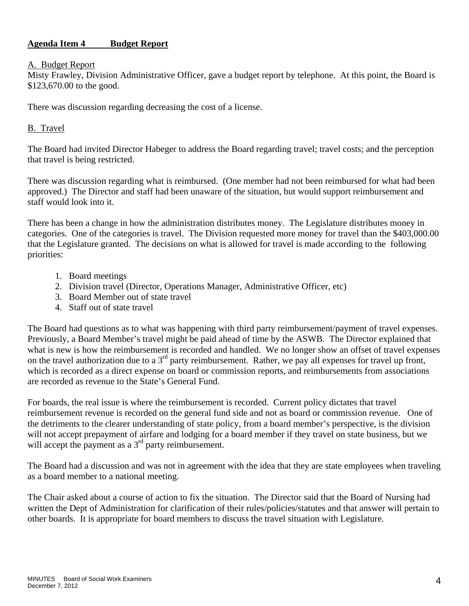# **Agenda Item 4 Budget Report**

## A. Budget Report

Misty Frawley, Division Administrative Officer, gave a budget report by telephone. At this point, the Board is \$123,670.00 to the good.

There was discussion regarding decreasing the cost of a license.

# B. Travel

The Board had invited Director Habeger to address the Board regarding travel; travel costs; and the perception that travel is being restricted.

There was discussion regarding what is reimbursed. (One member had not been reimbursed for what had been approved.) The Director and staff had been unaware of the situation, but would support reimbursement and staff would look into it.

There has been a change in how the administration distributes money. The Legislature distributes money in categories. One of the categories is travel. The Division requested more money for travel than the \$403,000.00 that the Legislature granted. The decisions on what is allowed for travel is made according to the following priorities:

- 1. Board meetings
- 2. Division travel (Director, Operations Manager, Administrative Officer, etc)
- 3. Board Member out of state travel
- 4. Staff out of state travel

The Board had questions as to what was happening with third party reimbursement/payment of travel expenses. Previously, a Board Member's travel might be paid ahead of time by the ASWB. The Director explained that what is new is how the reimbursement is recorded and handled. We no longer show an offset of travel expenses on the travel authorization due to a  $3<sup>rd</sup>$  party reimbursement. Rather, we pay all expenses for travel up front, which is recorded as a direct expense on board or commission reports, and reimbursements from associations are recorded as revenue to the State's General Fund.

For boards, the real issue is where the reimbursement is recorded. Current policy dictates that travel reimbursement revenue is recorded on the general fund side and not as board or commission revenue. One of the detriments to the clearer understanding of state policy, from a board member's perspective, is the division will not accept prepayment of airfare and lodging for a board member if they travel on state business, but we will accept the payment as a  $3<sup>rd</sup>$  party reimbursement.

The Board had a discussion and was not in agreement with the idea that they are state employees when traveling as a board member to a national meeting.

The Chair asked about a course of action to fix the situation. The Director said that the Board of Nursing had written the Dept of Administration for clarification of their rules/policies/statutes and that answer will pertain to other boards. It is appropriate for board members to discuss the travel situation with Legislature.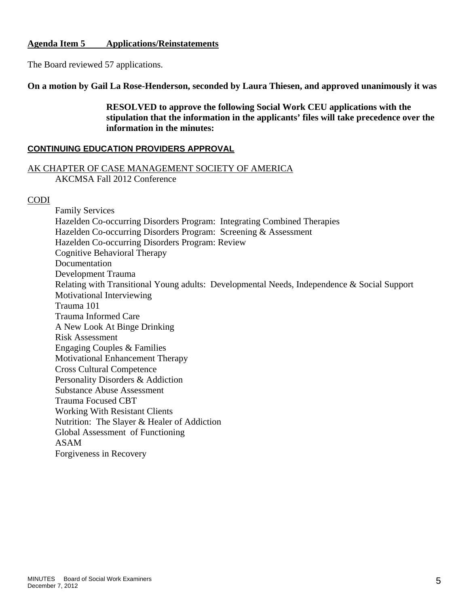## **Agenda Item 5 Applications/Reinstatements**

The Board reviewed 57 applications.

**On a motion by Gail La Rose-Henderson, seconded by Laura Thiesen, and approved unanimously it was** 

 **RESOLVED to approve the following Social Work CEU applications with the stipulation that the information in the applicants' files will take precedence over the information in the minutes:** 

### **CONTINUING EDUCATION PROVIDERS APPROVAL**

### AK CHAPTER OF CASE MANAGEMENT SOCIETY OF AMERICA AKCMSA Fall 2012 Conference

## CODI

Family Services Hazelden Co-occurring Disorders Program: Integrating Combined Therapies Hazelden Co-occurring Disorders Program: Screening & Assessment Hazelden Co-occurring Disorders Program: Review Cognitive Behavioral Therapy Documentation Development Trauma Relating with Transitional Young adults: Developmental Needs, Independence & Social Support Motivational Interviewing Trauma 101 Trauma Informed Care A New Look At Binge Drinking Risk Assessment Engaging Couples & Families Motivational Enhancement Therapy Cross Cultural Competence Personality Disorders & Addiction Substance Abuse Assessment Trauma Focused CBT Working With Resistant Clients Nutrition: The Slayer & Healer of Addiction Global Assessment of Functioning ASAM Forgiveness in Recovery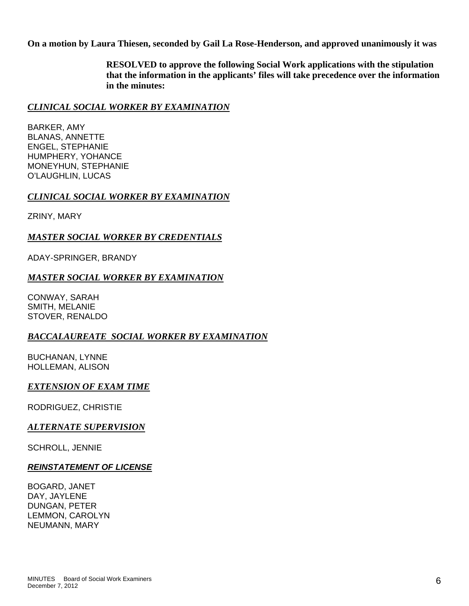**On a motion by Laura Thiesen, seconded by Gail La Rose-Henderson, and approved unanimously it was** 

 **RESOLVED to approve the following Social Work applications with the stipulation that the information in the applicants' files will take precedence over the information in the minutes:** 

# *CLINICAL SOCIAL WORKER BY EXAMINATION*

BARKER, AMY BLANAS, ANNETTE ENGEL, STEPHANIE HUMPHERY, YOHANCE MONEYHUN, STEPHANIE O'LAUGHLIN, LUCAS

## *CLINICAL SOCIAL WORKER BY EXAMINATION*

ZRINY, MARY

## *MASTER SOCIAL WORKER BY CREDENTIALS*

ADAY-SPRINGER, BRANDY

## *MASTER SOCIAL WORKER BY EXAMINATION*

CONWAY, SARAH SMITH, MELANIE STOVER, RENALDO

## *BACCALAUREATE SOCIAL WORKER BY EXAMINATION*

BUCHANAN, LYNNE HOLLEMAN, ALISON

## *EXTENSION OF EXAM TIME*

RODRIGUEZ, CHRISTIE

## *ALTERNATE SUPERVISION*

SCHROLL, JENNIE

## *REINSTATEMENT OF LICENSE*

BOGARD, JANET DAY, JAYLENE DUNGAN, PETER LEMMON, CAROLYN NEUMANN, MARY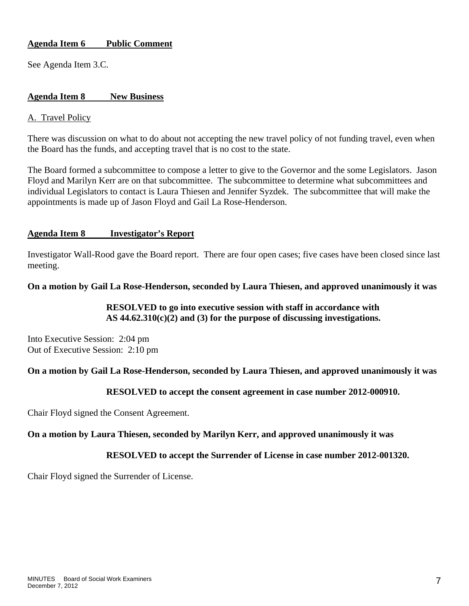# **Agenda Item 6 Public Comment**

See Agenda Item 3.C.

## **Agenda Item 8 New Business**

## A. Travel Policy

There was discussion on what to do about not accepting the new travel policy of not funding travel, even when the Board has the funds, and accepting travel that is no cost to the state.

The Board formed a subcommittee to compose a letter to give to the Governor and the some Legislators. Jason Floyd and Marilyn Kerr are on that subcommittee. The subcommittee to determine what subcommittees and individual Legislators to contact is Laura Thiesen and Jennifer Syzdek. The subcommittee that will make the appointments is made up of Jason Floyd and Gail La Rose-Henderson.

## **Agenda Item 8 Investigator's Report**

Investigator Wall-Rood gave the Board report. There are four open cases; five cases have been closed since last meeting.

## **On a motion by Gail La Rose-Henderson, seconded by Laura Thiesen, and approved unanimously it was**

## **RESOLVED to go into executive session with staff in accordance with AS 44.62.310(c)(2) and (3) for the purpose of discussing investigations.**

Into Executive Session: 2:04 pm Out of Executive Session: 2:10 pm

## **On a motion by Gail La Rose-Henderson, seconded by Laura Thiesen, and approved unanimously it was**

## **RESOLVED to accept the consent agreement in case number 2012-000910.**

Chair Floyd signed the Consent Agreement.

#### **On a motion by Laura Thiesen, seconded by Marilyn Kerr, and approved unanimously it was**

#### **RESOLVED to accept the Surrender of License in case number 2012-001320.**

Chair Floyd signed the Surrender of License.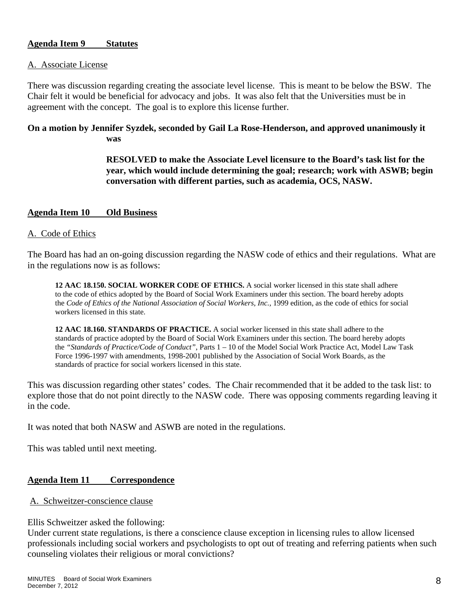## **Agenda Item 9 Statutes**

#### A. Associate License

There was discussion regarding creating the associate level license. This is meant to be below the BSW. The Chair felt it would be beneficial for advocacy and jobs. It was also felt that the Universities must be in agreement with the concept. The goal is to explore this license further.

# **On a motion by Jennifer Syzdek, seconded by Gail La Rose-Henderson, and approved unanimously it was**

 **RESOLVED to make the Associate Level licensure to the Board's task list for the year, which would include determining the goal; research; work with ASWB; begin conversation with different parties, such as academia, OCS, NASW.** 

## **Agenda Item 10 Old Business**

## A. Code of Ethics

The Board has had an on-going discussion regarding the NASW code of ethics and their regulations. What are in the regulations now is as follows:

**12 AAC 18.150. SOCIAL WORKER CODE OF ETHICS.** A social worker licensed in this state shall adhere to the code of ethics adopted by the Board of Social Work Examiners under this section. The board hereby adopts the *Code of Ethics of the National Association of Social Workers, Inc., 1999 edition, as the code of ethics for social* workers licensed in this state.

**12 AAC 18.160. STANDARDS OF PRACTICE.** A social worker licensed in this state shall adhere to the standards of practice adopted by the Board of Social Work Examiners under this section. The board hereby adopts the *"Standards of Practice/Code of Conduct"*, Parts 1 – 10 of the Model Social Work Practice Act, Model Law Task Force 1996-1997 with amendments, 1998-2001 published by the Association of Social Work Boards, as the standards of practice for social workers licensed in this state.

This was discussion regarding other states' codes. The Chair recommended that it be added to the task list: to explore those that do not point directly to the NASW code. There was opposing comments regarding leaving it in the code.

It was noted that both NASW and ASWB are noted in the regulations.

This was tabled until next meeting.

#### **Agenda Item 11 Correspondence**

A. Schweitzer-conscience clause

### Ellis Schweitzer asked the following:

Under current state regulations, is there a conscience clause exception in licensing rules to allow licensed professionals including social workers and psychologists to opt out of treating and referring patients when such counseling violates their religious or moral convictions?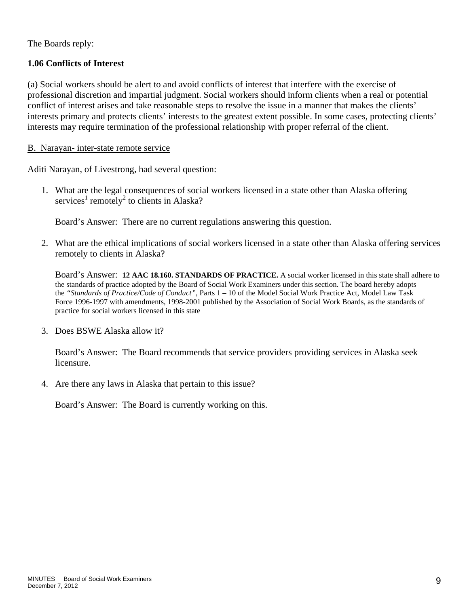The Boards reply:

# **1.06 Conflicts of Interest**

(a) Social workers should be alert to and avoid conflicts of interest that interfere with the exercise of professional discretion and impartial judgment. Social workers should inform clients when a real or potential conflict of interest arises and take reasonable steps to resolve the issue in a manner that makes the clients' interests primary and protects clients' interests to the greatest extent possible. In some cases, protecting clients' interests may require termination of the professional relationship with proper referral of the client.

## B. Narayan- inter-state remote service

Aditi Narayan, of Livestrong, had several question:

1. What are the legal consequences of social workers licensed in a state other than Alaska offering services<sup>1</sup> remotely<sup>2</sup> to clients in Alaska?

Board's Answer: There are no current regulations answering this question.

2. What are the ethical implications of social workers licensed in a state other than Alaska offering services remotely to clients in Alaska?

Board's Answer: **12 AAC 18.160. STANDARDS OF PRACTICE.** A social worker licensed in this state shall adhere to the standards of practice adopted by the Board of Social Work Examiners under this section. The board hereby adopts the *"Standards of Practice/Code of Conduct"*, Parts 1 – 10 of the Model Social Work Practice Act, Model Law Task Force 1996-1997 with amendments, 1998-2001 published by the Association of Social Work Boards, as the standards of practice for social workers licensed in this state

3. Does BSWE Alaska allow it?

Board's Answer: The Board recommends that service providers providing services in Alaska seek licensure.

4. Are there any laws in Alaska that pertain to this issue?

Board's Answer: The Board is currently working on this.